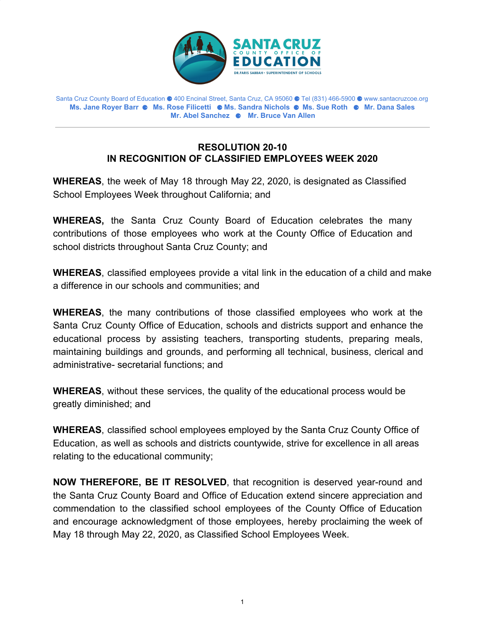

Santa Cruz County Board of Education ⚈ 400 Encinal Street, Santa Cruz, CA 95060 ⚈ Tel (831) 466-5900 ⚈ www.santacruzcoe.org **Ms. Jane Royer Barr** ⚈ **Ms. Rose Filicetti** ⚈ **Ms. Sandra Nichols** ⚈ **Ms. Sue Roth** ⚈ **Mr. Dana Sales Mr. Abel Sanchez** ⚈ **Mr. Bruce Van Allen**

## **RESOLUTION 20-10 IN RECOGNITION OF CLASSIFIED EMPLOYEES WEEK 2020**

**WHEREAS**, the week of May 18 through May 22, 2020, is designated as Classified School Employees Week throughout California; and

**WHEREAS,** the Santa Cruz County Board of Education celebrates the many contributions of those employees who work at the County Office of Education and school districts throughout Santa Cruz County; and

**WHEREAS**, classified employees provide a vital link in the education of a child and make a difference in our schools and communities; and

**WHEREAS**, the many contributions of those classified employees who work at the Santa Cruz County Office of Education, schools and districts support and enhance the educational process by assisting teachers, transporting students, preparing meals, maintaining buildings and grounds, and performing all technical, business, clerical and administrative- secretarial functions; and

**WHEREAS**, without these services, the quality of the educational process would be greatly diminished; and

**WHEREAS**, classified school employees employed by the Santa Cruz County Office of Education, as well as schools and districts countywide, strive for excellence in all areas relating to the educational community;

**NOW THEREFORE, BE IT RESOLVED**, that recognition is deserved year-round and the Santa Cruz County Board and Office of Education extend sincere appreciation and commendation to the classified school employees of the County Office of Education and encourage acknowledgment of those employees, hereby proclaiming the week of May 18 through May 22, 2020, as Classified School Employees Week.